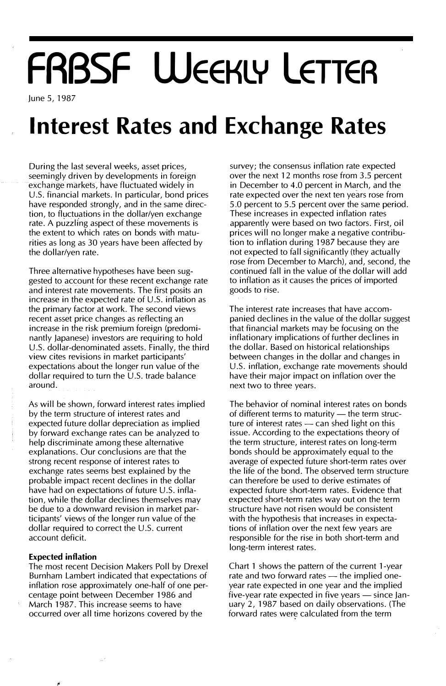# FRBSF WEEKLY LETTER

June 5, 1987

## Interest Rates and Exchange Rates

During the last several weeks, asset prices, seemingly driven by developments in foreign exchange markets, have fluctuated widely in U.S. financial markets. In particular, bond prices have responded strongly, and in the same direction, to fluctuations in the dollar/yen exchange rate. A puzzling aspect of these movements is the extent to which rates on bonds with maturities as long as 30 years have been affected by the dollar/yen rate.

Three alternative hypotheses have been suggested to account for these recent exchange rate and interest rate movements. The first posits an increase in the expected rate of U.S. inflation as the primary factor at work. The second views recent asset price changes as reflecting an increase in the risk premium foreign (predominantly Japanese) investors are requiring to hold U.S. dollar-denominated assets. Finally, the third view cites revisions in market participants' expectations about the longer run value of the dollar required to turn the U.S. trade balance around.

As will be shown, forward interest rates implied by the term structure of interest rates and expected future dollar depreciation as implied by forward exchange rates can be analyzed to help discriminate among these alternative explanations. Our conclusions are that the strong recent response of interest rates to exchange rates seems best explained by the probable impact recent declines in the dollar have had on expectations of future U.S. inflation, while the dollar declines themselves may be due to a downward revision in market participants' views of the longer run value of the dollar required to correct the U.S. current account deficit.

#### Expected inflation

The most recent Decision Makers Poll by Drexel Burnham Lambert indicated that expectations of inflation rose approximately one-half of one percentage point between December 1986 and March 1987. This increase seems to have occurred over all time horizons covered by the

survey; the consensus inflation rate expected over the next 12 months rose from 3.5 percent in December to 4.0 percent in March, and the rate expected over the next ten years rose from 5.0 percent to 5.5 percent over the same period. These increases in expected inflation rates apparently were based on two factors. First, oil prices will no longer make a negative contribution to inflation during 1987 because they are not expected to fall significantly (they actually rose from December to March), and, second, the continued fall in the value of the dollar will add to inflation as it causes the prices of imported goods to rise.

The interest rate increases that have accompanied declines in the value of the dollar suggest that financial markets may be focusing on the inflationary implications of further declines in the dollar. Based on historical relationships between changes in the dollar and changes in U.S. inflation, exchange rate movements should have their major impact on inflation over the next two to three years.

The behavior of nominal interest rates on bonds of different terms to maturity  $-$  the term structure of interest rates  $-$  can shed light on this issue. According to the expectations theory of the term structure, interest rates on long-term bonds should be approximately equal to the average of expected future short-term rates over the life of the bond. The observed term structure can therefore be used to derive estimates of expected future short-term rates. Evidence that expected short-term rates way out on the term structure have not risen would be consistent with the hypothesis that increases in expectations of inflation over the next few years are responsible for the rise in both short-term and long-term interest rates.

Chart 1 shows the pattern of the current 1-year rate and two forward rates — the implied oneyear rate expected in one year and the implied five-year rate expected in five years – since January 2, 1987 based on daily observations. (The forward rates were calculated from the term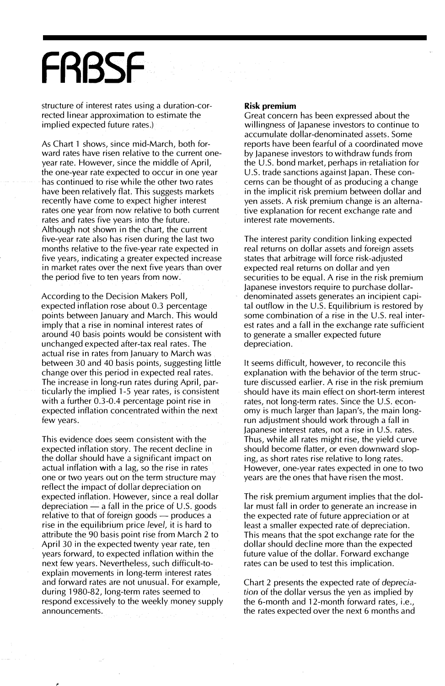## **FRBSF**

structure of interest rates using a duration-corrected linear approximation to estimate the implied expected future rates.)

As Chart 1 shows, since mid-March, both forward rates have risen relative to the current oneyear rate. However, since the middle of April, the one-year rate expected to occur in one year has continued to rise while the other two rates have been relatively flat. This suggests markets recently have come to expect higher interest rates one year from now relative to both current rates and rates five years into the future. Although not shown in the chart, the current five-year rate also has risen during the last two months relative to the five-year rate expected in five years, indicating a greater expected increase in market rates over the next five years than over the period five to ten years from now.

According to the Decision Makers Poll, expected inflation rose about 0.3 percentage points between January and March. This would imply that a rise in nominal interest rates of around 40 basis points would be consistent with unchanged expected after-tax real rates. The actual rise in rates from January to March was between 30 and 40 basis points, suggesting little change over this period in expected real rates. The increase in long-run rates during April, particularly the implied 1-5 year rates, is consistent with a further 0.3-0.4 percentage point rise in expected inflation concentrated within the next few years.

This evidence does seem consistent with the expected inflation story. The recent decline in the dollar should have a significant impact on actual inflation with a lag, so the rise in rates one or two years out on the term structure may reflect the impact of dollar depreciation on expected inflation. However, since a real dollar depreciation  $-$  a fall in the price of U.S. goods relative to that of foreign goods — produces a rise in the equilibrium price /eve/, it is hard to attribute the 90 basis point rise from March 2 to April 30 in the expected twenty year rate, ten years forward, to expected inflation within the next few years. Nevertheless, such difficult-toexplain movements in long-term interest rates and forward rates are not unusual. For example, during 1980-82, long-term rates seemed to respond excessively to the weekly money supply announcements.

#### Risk premium

Great concern has been expressed about the willingness of Japanese investors to continue to accumulate dollar-denominated assets. Some reports have been fearful of a coordinated move by Japanese investors to withdraw funds from the U.S. bond market, perhaps in retaliation for U.S. trade sanctions against Japan. These concerns can be thought of as producing a change in the implicit risk premium between dollar and yen assets. A risk premium change is an alternative explanation for recent exchange rate and interest rate movements.

The interest parity condition linking expected real returns on dollar assets and foreign assets states that arbitrage will force risk-adjusted expected real returns on dollar and yen securities to be equal. A rise in the risk premium Japanese investors require to purchase dollardenominated assets generates an incipient capital outflow in the U.S. Equilibrium is restored by some combination of a rise in the U.S. real interest rates and a fall in the exchange rate sufficient to generate a smaller expected future depreciation.

It seems difficult, however, to reconcile this explanation with the behavior of the term structure discussed earlier. A rise in the risk premium should have its main effect on short-term interest rates, not long-term rates. Since the U.S. economy is much larger than Japan's, the main longrun adjustment should work through a fall in Japanese interest rates, not a rise in U.S. rates. Thus, while all rates might rise, the yield curve should become flatter, or even downward sloping, as short rates rise relative to long rates. However, one-year rates expected in one to two years are the ones that have risen the most.

The risk premium argument implies that the dollar must fall in order to generate an increase in the expected rate of future appreciation or at least a smaller expected rate of depreciation. This means that the spot exchange rate for the dollar should decline more than the expected future value of the dollar. Forward exchange rates can be used to test this implication.

Chart 2 presents the expected rate of depreciation of the dollar versus the yen as implied by the 6-month and 12-month forward rates, i.e., the rates expected over the next 6 months and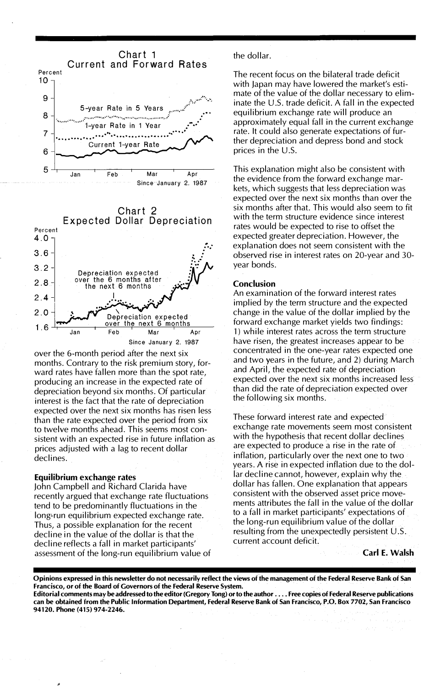



over the 6-month period after the next six months. Contrary to the risk premium story, forward rates have fallen more than the spot rate, producing an increase in the expected rate of depreciation beyond six months. Of particular interest is the fact that the rate of depreciation expected over the next six months has risen less than the rate expected over the period from six to twelve months ahead. This seems most consistent with an expected rise in future inflation as prices adjusted with a lag to recent dollar declines.

#### Equilibrium exchange rates

John Campbell and Richard Clarida have recently argued that exchange rate fluctuations tend to be predominantly fluctuations in the long-run equilibrium expected exchange rate. Thus, a possible explanation for the recent decline in the value of the dollar is that the decline reflects a fall in market participants' assessment of the long-run equilibrium value of the dollar.

The recent focus on the bilateral trade deficit with Japan may have lowered the market's estimate of the value of the dollar necessary to eliminate the U.S. trade deficit. A fall in the expected equilibrium exchange rate will produce an approximately equal fall in the current exchange rate. It could also generate expectations of further depreciation and depress bond and stock prices in the U.S.

This explanation might also be consistent with the evidence from the forward exchange markets, which suggests that less depreciation was expected over the next six months than over the six months after that. This would also seem to fit with the term structure evidence since interest rates would be expected to rise to offset the expected greater depreciation. However, the explanation does not seem consistent with the observed rise in interest rates on 20-year and 30 year bonds.

#### Conclusion

An examination of the forward interest rates implied by the term structure and the expected change in the value of the dollar implied by the forward exchange market yields two findings: 1) while interest rates across the term structure have risen, the greatest increases appear to be concentrated in the one-year rates expected one and two years in the future, and 2) during March and April, the expected rate of depreciation expected over the next six months increased less than did the rate of depreciation expected over the following six months.

These forward interest rate and expected exchange rate movements seem most consistent with the hypothesis that recent dollar declines are expected to produce a rise in the rate of inflation, particularly over the next one to two years. A rise in expected inflation due to the dollar decline cannot, however, explain why the dollar has fallen. One explanation that appears consistent with the observed asset price movements attributes the fall in the value of the dollar to a fall in market participants' expectations of the long-run equilibrium value of the dollar resulting from the unexpectedly persistent U.S. current account deficit.

#### Carl E. Walsh

Opinions expressed in this newsletter do not necessarily reflect the views of the management of the Federal Reserve Bank of San Francisco, or of the Board of Governors of the Federal Reserve System. Editorial comments may be addressed to the editor (Gregory Tong) or to the author .... Free copies of Federal Reserve publications can be obtamed from the Pubhc Information Department, Federal Reserve Bank of San Francisco, P.O. Box 7702, San Francisco 94120. Phone (415) 974-2246.